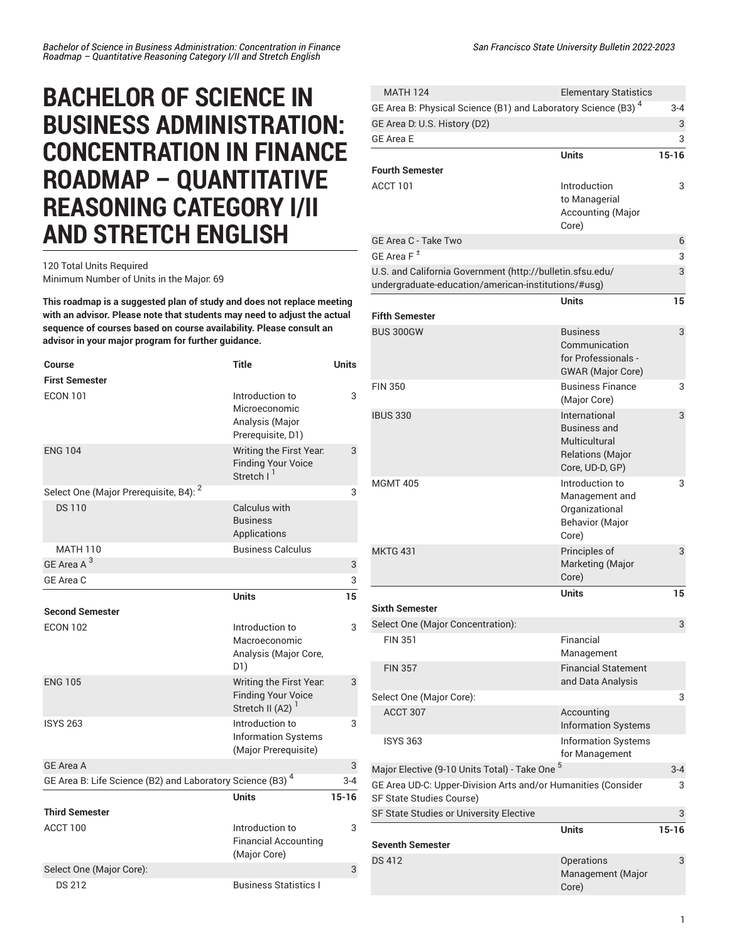## **BACHELOR OF SCIENCE IN BUSINESS ADMINISTRATION: CONCENTRATION IN FINANCE ROADMAP – QUANTITATIVE REASONING CATEGORY I/II AND STRETCH ENGLISH**

## 120 Total Units Required Minimum Number of Units in the Major: 69

**This roadmap is a suggested plan of study and does not replace meeting with an advisor. Please note that students may need to adjust the actual sequence of courses based on course availability. Please consult an advisor in your major program for further guidance.**

| <b>Course</b>                                                 | <b>Title</b>                                                                         | <b>Units</b> |
|---------------------------------------------------------------|--------------------------------------------------------------------------------------|--------------|
| <b>First Semester</b>                                         |                                                                                      |              |
| <b>ECON 101</b>                                               | Introduction to<br>Microeconomic<br>Analysis (Major<br>Prerequisite, D1)             | 3            |
| <b>ENG 104</b>                                                | Writing the First Year.<br><b>Finding Your Voice</b><br>Stretch I <sup>1</sup>       | 3            |
| Select One (Major Prerequisite, B4): <sup>2</sup>             |                                                                                      | 3            |
| <b>DS110</b>                                                  | Calculus with<br><b>Business</b><br>Applications                                     |              |
| <b>MATH 110</b>                                               | <b>Business Calculus</b>                                                             |              |
| GE Area A <sup>3</sup>                                        |                                                                                      | 3            |
| GE Area C                                                     |                                                                                      | 3            |
|                                                               | <b>Units</b>                                                                         | 15           |
| <b>Second Semester</b>                                        |                                                                                      |              |
| <b>ECON 102</b>                                               | Introduction to<br>Macroeconomic<br>Analysis (Major Core,<br>D1)                     | 3            |
| <b>ENG 105</b>                                                | Writing the First Year.<br><b>Finding Your Voice</b><br>Stretch II (A2) <sup>1</sup> | 3            |
| <b>ISYS 263</b>                                               | Introduction to<br><b>Information Systems</b><br>(Major Prerequisite)                | 3            |
| <b>GE Area A</b>                                              |                                                                                      | 3            |
| GE Area B: Life Science (B2) and Laboratory Science (B3) $^4$ |                                                                                      | $3 - 4$      |
|                                                               | Units                                                                                | $15 - 16$    |
| <b>Third Semester</b>                                         |                                                                                      |              |
| ACCT 100                                                      | Introduction to<br><b>Financial Accounting</b><br>(Major Core)                       | 3            |
| Select One (Major Core):                                      |                                                                                      | 3            |
| <b>DS 212</b>                                                 | <b>Business Statistics L</b>                                                         |              |

| <b>MATH 124</b>                                                                           | <b>Elementary Statistics</b>                        |           |
|-------------------------------------------------------------------------------------------|-----------------------------------------------------|-----------|
| GE Area B: Physical Science (B1) and Laboratory Science (B3) <sup>4</sup>                 |                                                     | $3 - 4$   |
| GE Area D: U.S. History (D2)                                                              |                                                     | 3         |
| <b>GE Area E</b>                                                                          |                                                     | 3         |
|                                                                                           | <b>Units</b>                                        | $15 - 16$ |
| <b>Fourth Semester</b>                                                                    |                                                     |           |
| ACCT 101                                                                                  | Introduction                                        | 3         |
|                                                                                           | to Managerial<br>Accounting (Major                  |           |
|                                                                                           | Core)                                               |           |
| GE Area C - Take Two                                                                      |                                                     | 6         |
| GE Area F <sup>±</sup>                                                                    |                                                     | 3         |
| U.S. and California Government (http://bulletin.sfsu.edu/                                 |                                                     | 3         |
| undergraduate-education/american-institutions/#usg)                                       |                                                     |           |
| <b>Fifth Semester</b>                                                                     | <b>Units</b>                                        | 15        |
| <b>BUS 300GW</b>                                                                          | <b>Business</b>                                     | 3         |
|                                                                                           | Communication                                       |           |
|                                                                                           | for Professionals -                                 |           |
| <b>FIN 350</b>                                                                            | <b>GWAR</b> (Major Core)<br><b>Business Finance</b> | 3         |
|                                                                                           | (Major Core)                                        |           |
| <b>IBUS 330</b>                                                                           | International<br><b>Business and</b>                | 3         |
|                                                                                           | Multicultural                                       |           |
|                                                                                           | <b>Relations (Major</b>                             |           |
|                                                                                           | Core, UD-D, GP)                                     |           |
| <b>MGMT 405</b>                                                                           | Introduction to                                     | 3         |
|                                                                                           | Management and<br>Organizational                    |           |
|                                                                                           | <b>Behavior (Major</b>                              |           |
|                                                                                           | Core)                                               |           |
| <b>MKTG 431</b>                                                                           | Principles of                                       | 3         |
|                                                                                           | Marketing (Major                                    |           |
|                                                                                           | Core)<br><b>Units</b>                               | 15        |
| <b>Sixth Semester</b>                                                                     |                                                     |           |
| Select One (Major Concentration):                                                         |                                                     | 3         |
| <b>FIN 351</b>                                                                            | Financial                                           |           |
|                                                                                           | Management                                          |           |
| <b>FIN 357</b>                                                                            | <b>Financial Statement</b><br>and Data Analysis     |           |
| Select One (Major Core):                                                                  |                                                     | 3         |
| ACCT 307                                                                                  | Accounting                                          |           |
|                                                                                           | <b>Information Systems</b>                          |           |
| <b>ISYS 363</b>                                                                           | <b>Information Systems</b><br>for Management        |           |
| Major Elective (9-10 Units Total) - Take One <sup>5</sup>                                 |                                                     | $3 - 4$   |
| GE Area UD-C: Upper-Division Arts and/or Humanities (Consider<br>SF State Studies Course) |                                                     | 3         |
| SF State Studies or University Elective                                                   |                                                     | 3         |
|                                                                                           | <b>Units</b>                                        | $15 - 16$ |
| <b>Seventh Semester</b>                                                                   |                                                     |           |
| <b>DS 412</b>                                                                             | Operations                                          | 3         |
|                                                                                           | Management (Major<br>Core)                          |           |